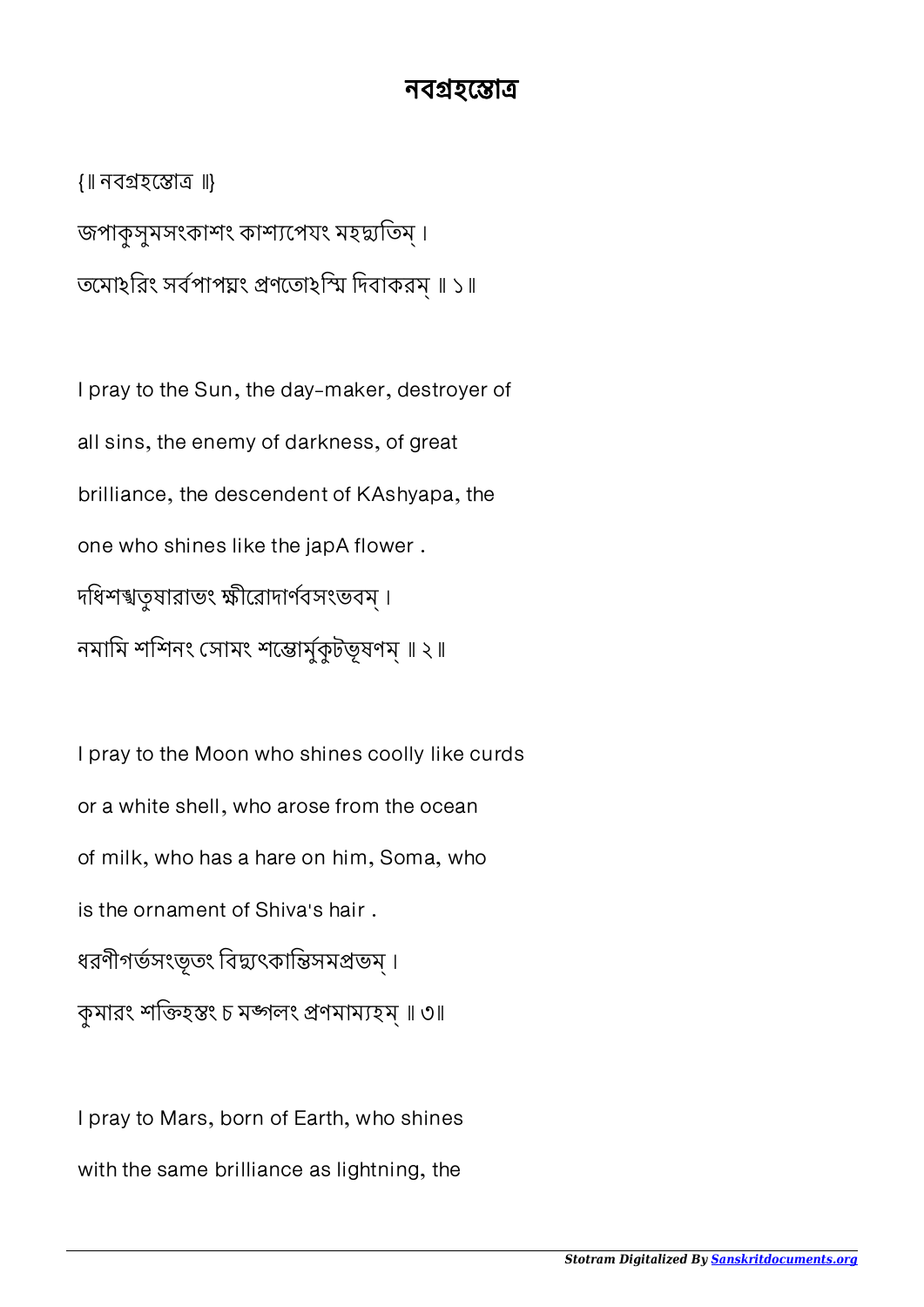## নবগ্ৰহস্তোত্ৰ

{॥ নবহো ॥} জপাকুসুমসংকাশং কাশ্যপেযং মহদ্মতিম। তমোহরিং সর্বপাপয়ং প্রণতোহস্মি দিবাকরম্ ॥ ১॥

I pray to the Sun, the day-maker, destroyer of all sins, the enemy of darkness, of great brilliance, the descendent of KAshyapa, the one who shines like the japA flower . দধিশশ্বতুষারাভং ক্ষীরোদার্ণবসংভবম্। নমামি শশিনং সোমং শ্ৰেষ্কুটভূষণম্ ॥ ২॥

I pray to the Moon who shines coolly like curds or a white shell, who arose from the ocean of milk, who has a hare on him, Soma, who is the ornament of Shiva's hair . ধরণীগর্ভসংভূতং বিদ্যুৎকান্তিসমপ্রভম্ । কুমারং শক্তিহস্তং চ মঙ্গলং প্রণমাম্যহম্ ॥ ৩॥

I pray to Mars, born of Earth, who shines with the same brilliance as lightning, the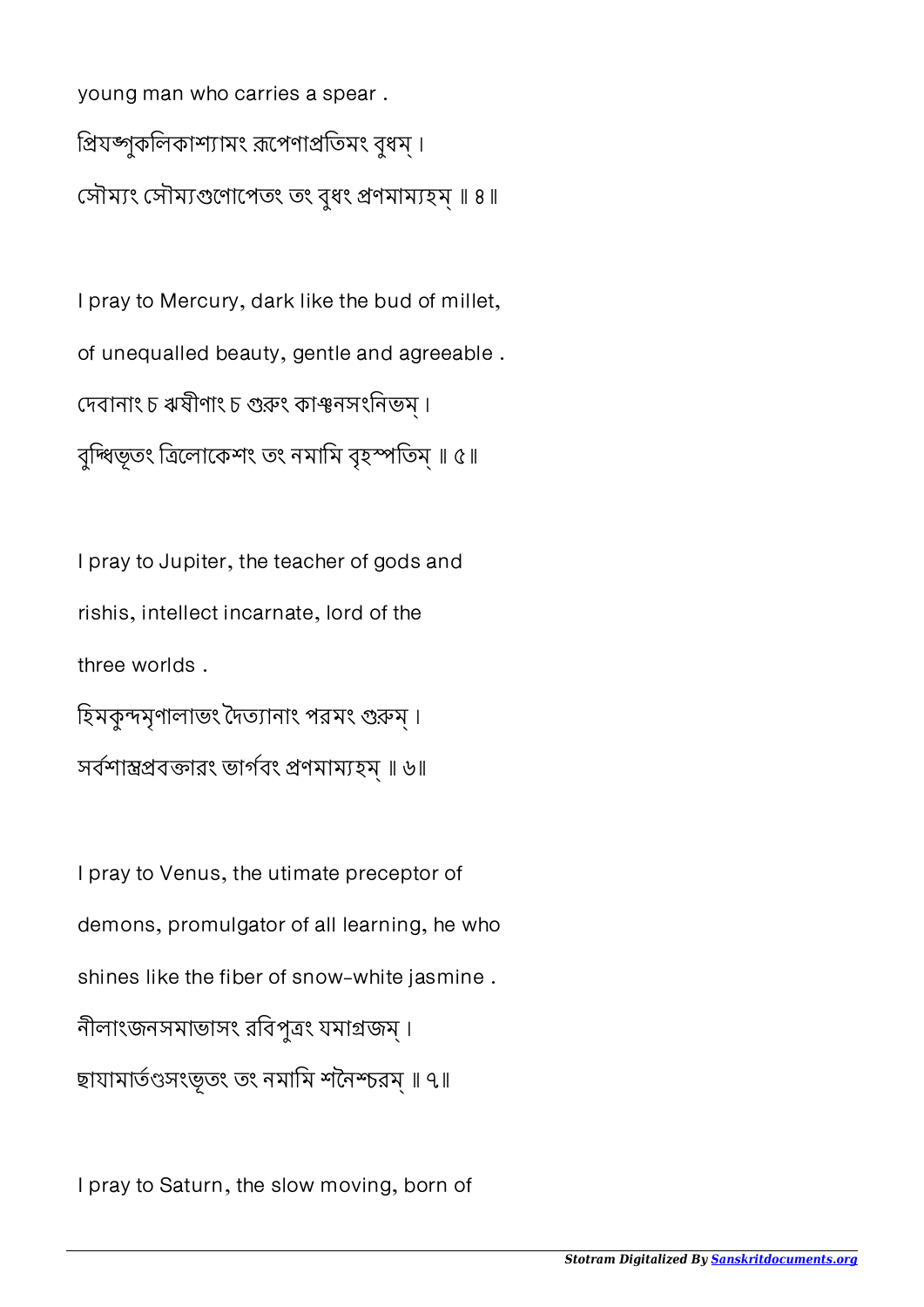young man who carries a spear . প্রিযজ্যকলিকাশ্যামং রূপেণাপ্রতিমং বুধম্। সৌম্যং সৌম্যগুণোপেতং তং বধং প্ৰণমাম্যহম ॥ ৪॥

I pray to Mercury, dark like the bud of millet, of unequalled beauty, gentle and agreeable . দেবানাং চ ঋষীণাং চ গুরুং কাঞ্চনসংনিভম্ । বুদ্ধিভূতং ত্ৰিলােকেশং তং নমামি বৃহস্পতিম্ ॥ ৫॥

I pray to Jupiter, the teacher of gods and rishis, intellect incarnate, lord of the three worlds . হিমকুন্দমৃণালাভং দৈত্যানাং পরমং গুরুম্। সবশাবারং ভাগবং ণমামহম্ ॥ ৬॥

I pray to Venus, the utimate preceptor of demons, promulgator of all learning, he who shines like the fiber of snow-white jasmine . নীলাংজনসমাভাসং রিবপুং যমাজম্ । ছাযামার্তণ্ডসংভূতং তং নমামি শনৈশ্চরম্ ॥ ৭॥

I pray to Saturn, the slow moving, born of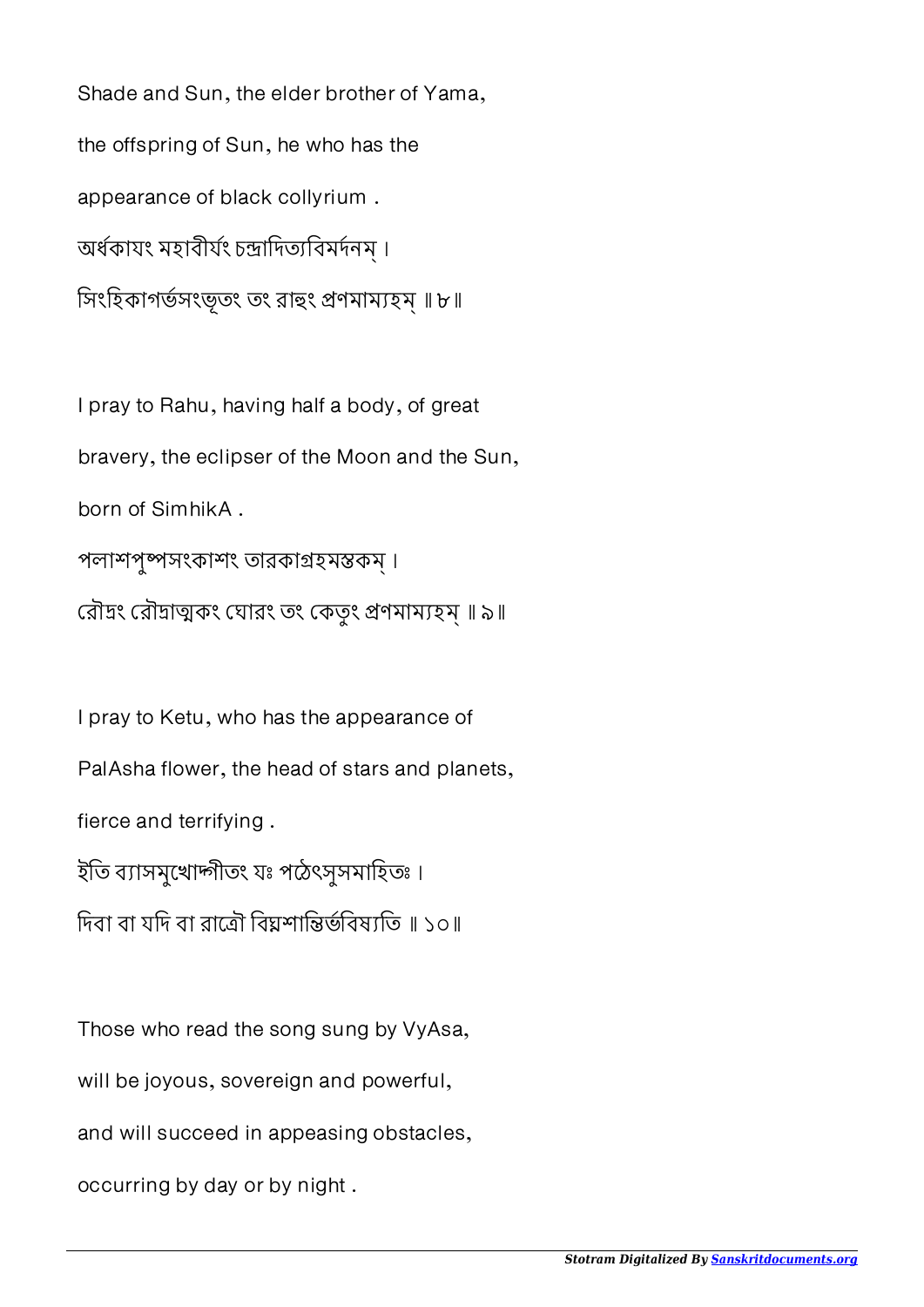Shade and Sun, the elder brother of Yama, the offspring of Sun, he who has the appearance of black collyrium . অৰ্ধকাযং মহাবীৰ্যং চন্দ্ৰাদিত্যবিমৰ্দনম্। সিংহিকাগৰ্ভসংভূতং তং রাহুং প্রণমাম্যহম্ ॥ ৮॥

I pray to Rahu, having half a body, of great bravery, the eclipser of the Moon and the Sun, born of SimhikA . পলাশপুসংকাশং তারকাহমকম্ । রৌদ্রং রৌদ্রাত্মকং ঘোরং তং কেতুং প্রণমাম্যহম্॥ ৯॥

I pray to Ketu, who has the appearance of PalAsha flower, the head of stars and planets, fierce and terrifying . ইতি ব্যাসমুখোদ্গীতং যঃ পঠেৎসুসমাহিতঃ। দিবা বা যদি বা রাত্রৌ বিঘ্নশান্তির্ভবিষ্যতি ॥ ১০॥

Those who read the song sung by VyAsa, will be joyous, sovereign and powerful, and will succeed in appeasing obstacles, occurring by day or by night .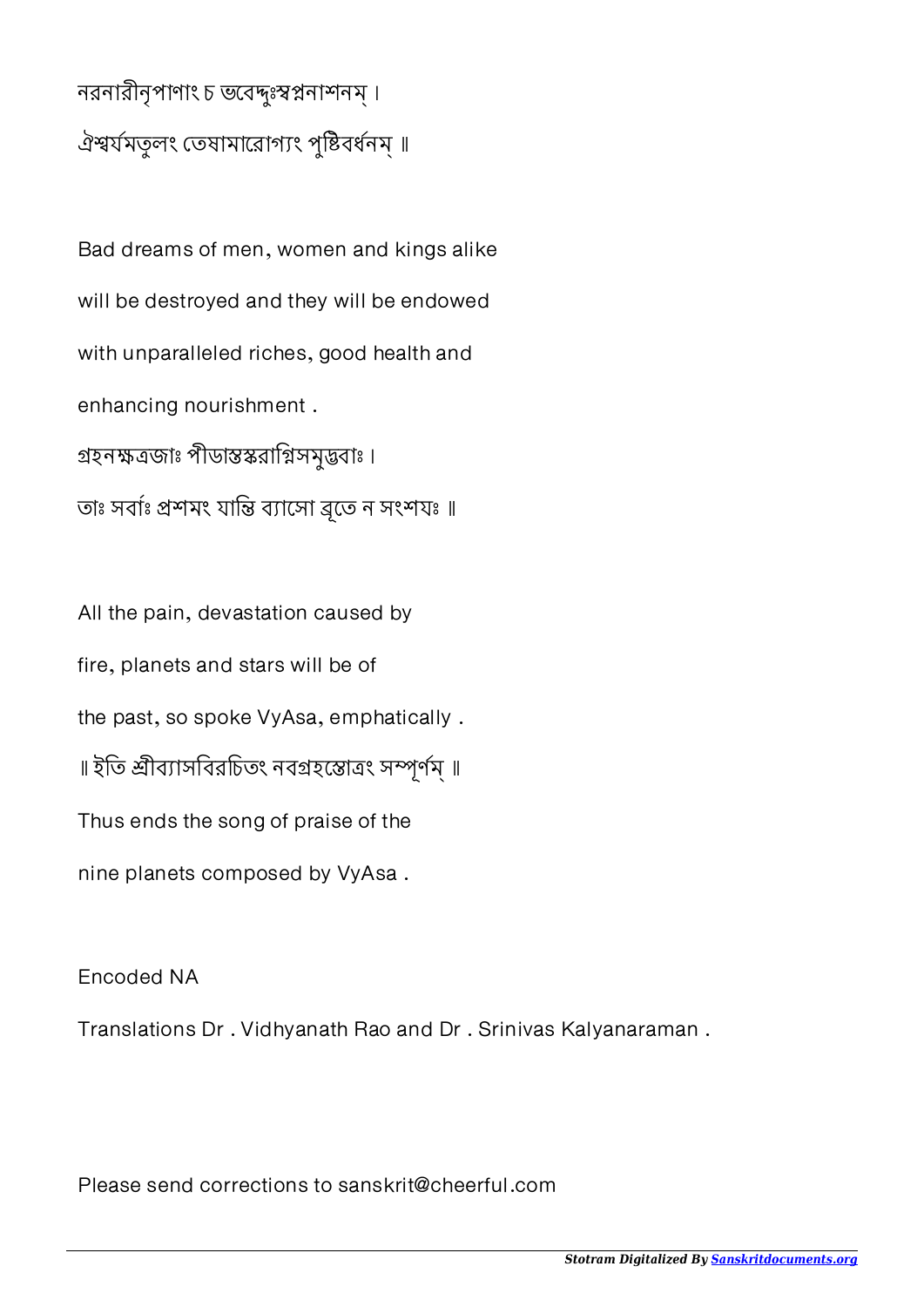## নরনারীনৃপাণাং চ ভবেদ্দঃস্বপ্ননাশনম্। ঐশ্বর্যমতূলং তেষামারোগ্যং পুষ্টিবর্ধনম্ ॥

Bad dreams of men, women and kings alike will be destroyed and they will be endowed with unparalleled riches, good health and enhancing nourishment . গ্রহনক্ষত্রজাঃ পীডাস্তস্করাগ্নিসমুদ্ভবাঃ । তাঃ সবাঃ প্ৰশমং যান্তি ব্যাসো ব্ৰতে ন সংশযঃ ॥

All the pain, devastation caused by fire, planets and stars will be of the past, so spoke VyAsa, emphatically . ॥ ইতি শ্রীব্যাসবিরচিতং নবগ্রহস্তোত্রং সম্পূর্ণম্ ॥ Thus ends the song of praise of the nine planets composed by VyAsa .

Encoded NA

Translations Dr . Vidhyanath Rao and Dr . Srinivas Kalyanaraman .

Please send corrections to sanskrit@cheerful.com